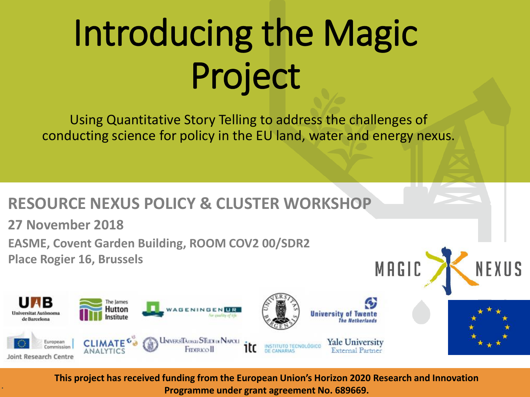# Introducing the Magic Project

Using Quantitative Story Telling to address the challenges of conducting science for policy in the EU land, water and energy nexus.

#### **RESOURCE NEXUS POLICY & CLUSTER WORKSHOP**

**27 November 2018**

**.**

**EASME, Covent Garden Building, ROOM COV2 00/SDR2 Place Rogier 16, Brussels**



MAGIC

**This project has received funding from the European Union's Horizon 2020 Research and Innovation Programme under grant agreement No. 689669.**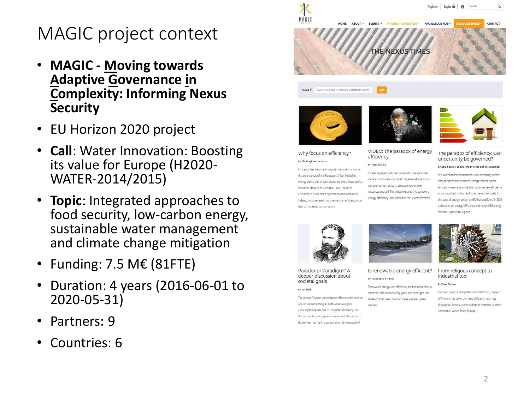#### MAGIC project context

- **MAGIC <u>M</u>oving towards<br><b>Adaptive Governance in**<br>Complexity: Informing Nexus **Security**
- EU Horizon 2020 project
- **Call**: Water Innovation: Boosting its value for Europe (H2020 - WATER -2014/2015)
- **Topic** : Integrated approaches to food security, low -carbon energy, sustainable water management and climate change mitigation
- Funding: 7.5 M€ (81FTE)
- Duration: 4 years (2016-06-01 to 2020 -05 -31)
- Partners: 9
- Countries: 6

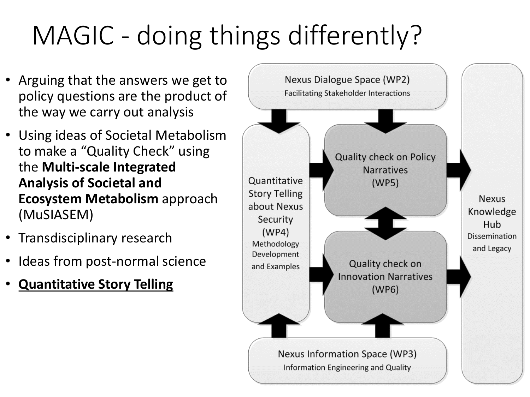## MAGIC - doing things differently?

- Arguing that the answers we get to policy questions are the product of the way we carry out analysis
- Using ideas of Societal Metabolism to make a "Quality Check" using the **Multi-scale Integrated Analysis of Societal and Ecosystem Metabolism** approach (MuSIASEM)
- Transdisciplinary research
- Ideas from post-normal science
- **Quantitative Story Telling**

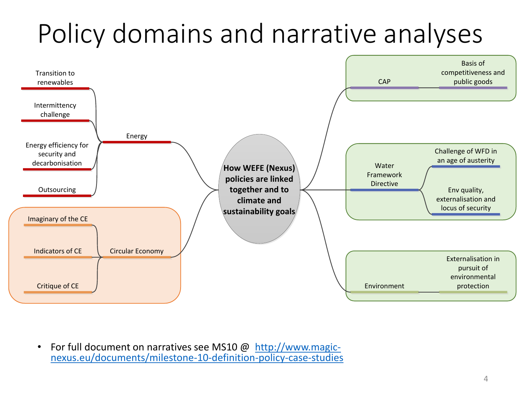### Policy domains and narrative analyses



• [For full document on narratives see MS10 @ http://www.magic](http://www.magic-nexus.eu/documents/milestone-10-definition-policy-case-studies)nexus.eu/documents/milestone-10-definition-policy-case-studies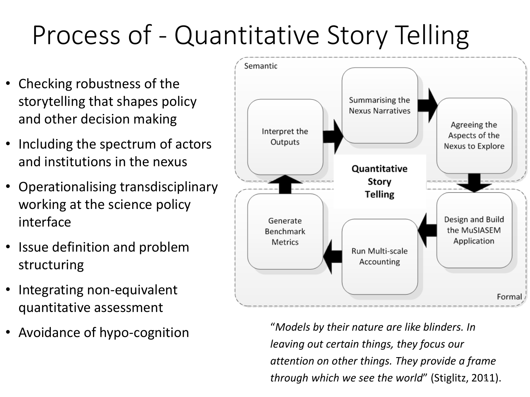### Process of - Quantitative Story Telling

- Checking robustness of the storytelling that shapes policy and other decision making
- Including the spectrum of actors and institutions in the nexus
- Operationalising transdisciplinary working at the science policy interface
- Issue definition and problem structuring
- Integrating non-equivalent quantitative assessment
- 



• Avoidance of hypo-cognition "*Models by their nature are like blinders. In leaving out certain things, they focus our attention on other things. They provide a frame through which we see the world*" (Stiglitz, 2011). 5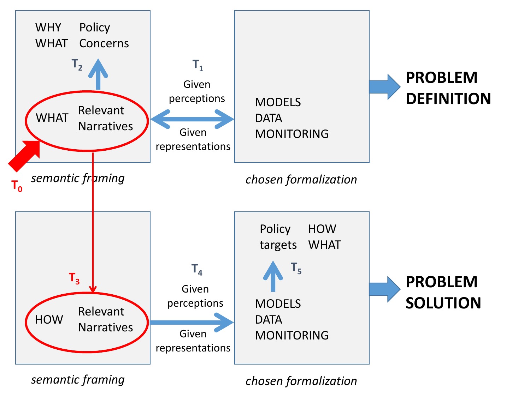

*semantic framing*

*chosen formalization*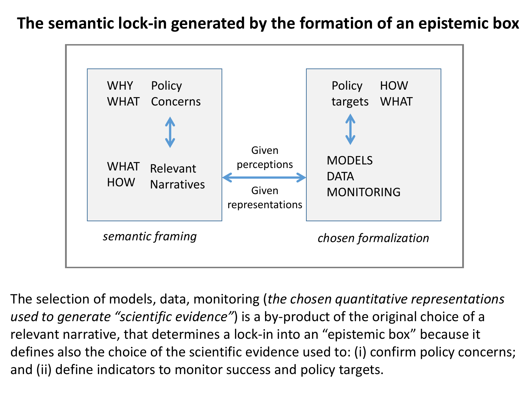#### **The semantic lock-in generated by the formation of an epistemic box**



The selection of models, data, monitoring (*the chosen quantitative representations used to generate "scientific evidence"*) is a by-product of the original choice of a relevant narrative, that determines a lock-in into an "epistemic box" because it defines also the choice of the scientific evidence used to: (i) confirm policy concerns; and (ii) define indicators to monitor success and policy targets.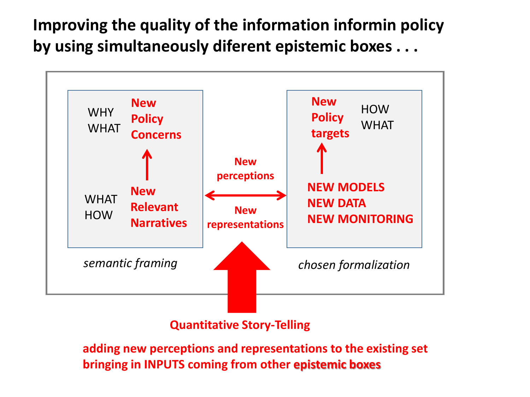**Improving the quality of the information informin policy by using simultaneously diferent epistemic boxes . . .** 



**Quantitative Story-Telling**

**adding new perceptions and representations to the existing set bringing in INPUTS coming from other epistemic boxes**